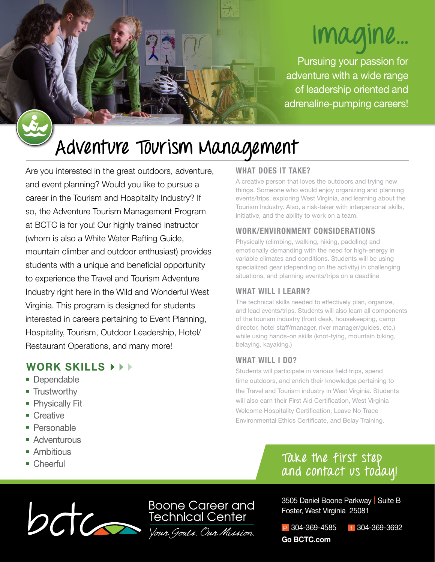# **Imagine...**

Pursuing your passion for adventure with a wide range of leadership oriented and adrenaline-pumping careers!

# **Adventure Tourism Management**

Are you interested in the great outdoors, adventure, and event planning? Would you like to pursue a career in the Tourism and Hospitality Industry? If so, the Adventure Tourism Management Program at BCTC is for you! Our highly trained instructor (whom is also a White Water Rafting Guide, mountain climber and outdoor enthusiast) provides students with a unique and beneficial opportunity to experience the Travel and Tourism Adventure Industry right here in the Wild and Wonderful West Virginia. This program is designed for students interested in careers pertaining to Event Planning, Hospitality, Tourism, Outdoor Leadership, Hotel/ Restaurant Operations, and many more!

# **WORK SKILLS**

- Dependable
- **Trustworthy**
- **Physically Fit**
- Creative
- **Personable**
- **Adventurous**
- **Ambitious**
- Cheerful

## **WHAT DOES IT TAKE?**

A creative person that loves the outdoors and trying new things. Someone who would enjoy organizing and planning events/trips, exploring West Virginia, and learning about the Tourism Industry. Also, a risk-taker with interpersonal skills, initiative, and the ability to work on a team.

## **WORK/ENVIRONMENT CONSIDERATIONS**

Physically (climbing, walking, hiking, paddling) and emotionally demanding with the need for high-energy in variable climates and conditions. Students will be using specialized gear (depending on the activity) in challenging situations, and planning events/trips on a deadline

## **WHAT WILL I LEARN?**

The technical skills needed to effectively plan, organize, and lead events/trips. Students will also learn all components of the tourism industry (front desk, housekeeping, camp director, hotel staff/manager, river manager/guides, etc.) while using hands-on skills (knot-tying, mountain biking, belaying, kayaking.)

## **WHAT WILL I DO?**

Students will participate in various field trips, spend time outdoors, and enrich their knowledge pertaining to the Travel and Tourism industry in West Virginia. Students will also earn their First Aid Certification, West Virginia Welcome Hospitality Certification, Leave No Trace Environmental Ethics Certificate, and Belay Training.

# **Take the first step and contact us today!**



3505 Daniel Boone Parkway | Suite B Foster, West Virginia 25081

p 304-369-4585 f 304-369-3692 **Go BCTC.com**